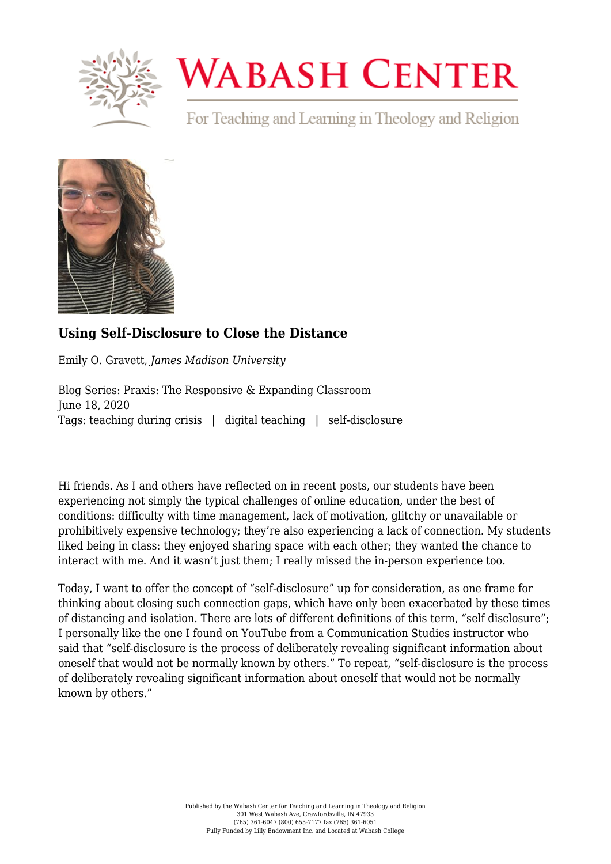

## **WABASH CENTER**

For Teaching and Learning in Theology and Religion



## **[Using Self-Disclosure to Close the Distance](https://www.wabashcenter.wabash.edu/2020/06/using-self-disclosure-to-close-the-distance/)**

Emily O. Gravett, *James Madison University*

Blog Series: Praxis: The Responsive & Expanding Classroom June 18, 2020 Tags: teaching during crisis | digital teaching | self-disclosure

Hi friends. As [I](https://www.wabashcenter.wabash.edu/2020/04/students-crave-connection/) and [others](https://www.wabashcenter.wabash.edu/2020/05/ways-to-connect-with-students-in-a-suddenly-online-environment/) have reflected on in recent posts, our students have been experiencing not simply the typical challenges of online education, under the best of conditions: difficulty with time management, lack of motivation, glitchy or unavailable or prohibitively expensive technology; they're also experiencing a lack of connection. My students liked being in class: they enjoyed sharing space with each other; they wanted the chance to interact with me. And it wasn't just them; I really missed the in-person experience too.

Today, I want to offer the concept of "self-disclosure" up for consideration, as one frame for thinking about closing such connection gaps, which have only been exacerbated by these times of distancing and isolation. There are lots of different definitions of this term, "self disclosure"; I personally like the one I found on [YouTube](https://www.youtube.com/watch?v=QtNsEWL3wD4) from a Communication Studies instructor who said that "self-disclosure is the process of deliberately revealing significant information about oneself that would not be normally known by others." To repeat, "self-disclosure is the process of deliberately revealing significant information about oneself that would not be normally known by others."